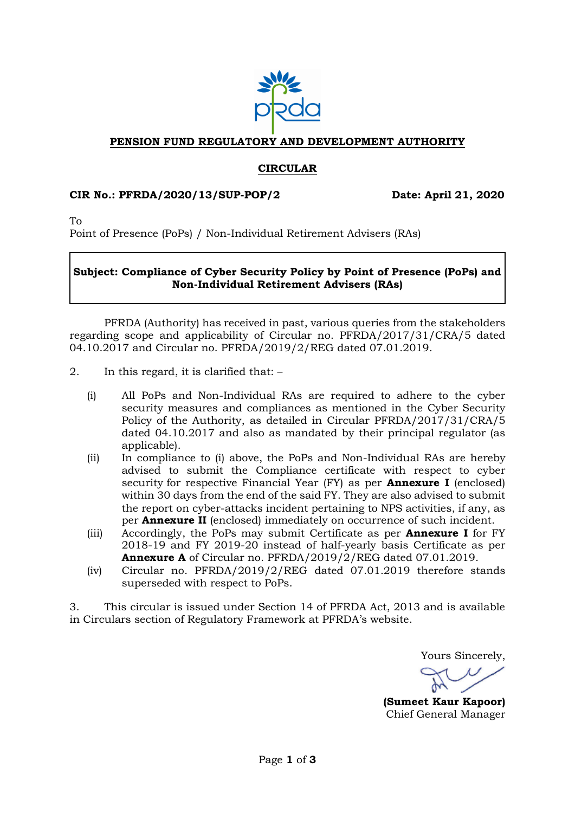

## **PENSION FUND REGULATORY AND DEVELOPMENT AUTHORITY**

## **CIRCULAR**

### **CIR No.: PFRDA/2020/13/SUP-POP/2 Date: April 21, 2020**

To

Point of Presence (PoPs) / Non-Individual Retirement Advisers (RAs)

## **Subject: Compliance of Cyber Security Policy by Point of Presence (PoPs) and Non-Individual Retirement Advisers (RAs)**

PFRDA (Authority) has received in past, various queries from the stakeholders regarding scope and applicability of Circular no. PFRDA/2017/31/CRA/5 dated 04.10.2017 and Circular no. PFRDA/2019/2/REG dated 07.01.2019.

- 2. In this regard, it is clarified that:
	- (i) All PoPs and Non-Individual RAs are required to adhere to the cyber security measures and compliances as mentioned in the Cyber Security Policy of the Authority, as detailed in Circular PFRDA/2017/31/CRA/5 dated 04.10.2017 and also as mandated by their principal regulator (as applicable).
	- (ii) In compliance to (i) above, the PoPs and Non-Individual RAs are hereby advised to submit the Compliance certificate with respect to cyber security for respective Financial Year (FY) as per **Annexure I** (enclosed) within 30 days from the end of the said FY. They are also advised to submit the report on cyber-attacks incident pertaining to NPS activities, if any, as per **Annexure II** (enclosed) immediately on occurrence of such incident.
	- (iii) Accordingly, the PoPs may submit Certificate as per **Annexure I** for FY 2018-19 and FY 2019-20 instead of half-yearly basis Certificate as per **Annexure A** of Circular no. PFRDA/2019/2/REG dated 07.01.2019.
	- (iv) Circular no. PFRDA/2019/2/REG dated 07.01.2019 therefore stands superseded with respect to PoPs.

3. This circular is issued under Section 14 of PFRDA Act, 2013 and is available in Circulars section of Regulatory Framework at PFRDA's website.

Yours Sincerely,

**(Sumeet Kaur Kapoor)** Chief General Manager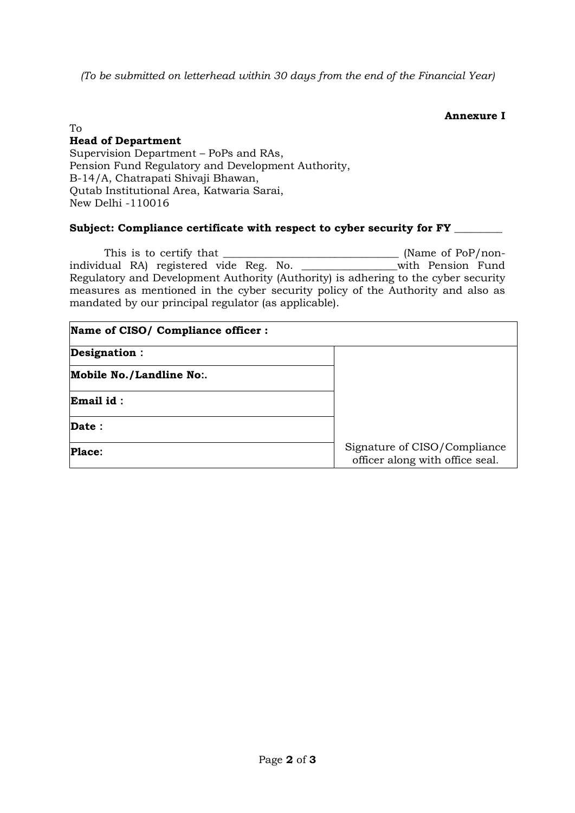*(To be submitted on letterhead within 30 days from the end of the Financial Year)*

### **Annexure I**

## To

## **Head of Department**

Supervision Department – PoPs and RAs, Pension Fund Regulatory and Development Authority, B-14/A, Chatrapati Shivaji Bhawan, Qutab Institutional Area, Katwaria Sarai, New Delhi -110016

## **Subject: Compliance certificate with respect to cyber security for FY \_\_\_\_\_\_\_\_\_**

This is to certify that \_\_\_\_\_\_\_\_\_\_\_\_\_\_\_\_\_\_\_\_\_\_\_\_\_\_\_\_\_\_\_\_\_ (Name of PoP/nonindividual RA) registered vide Reg. No. \_\_\_\_\_\_\_\_\_\_\_\_\_\_\_\_\_\_with Pension Fund Regulatory and Development Authority (Authority) is adhering to the cyber security measures as mentioned in the cyber security policy of the Authority and also as mandated by our principal regulator (as applicable).

| Name of CISO/ Compliance officer : |                                                                 |  |
|------------------------------------|-----------------------------------------------------------------|--|
| Designation :                      |                                                                 |  |
| Mobile No./Landline No:.           |                                                                 |  |
| Email id:                          |                                                                 |  |
| Date:                              |                                                                 |  |
| <b>Place:</b>                      | Signature of CISO/Compliance<br>officer along with office seal. |  |